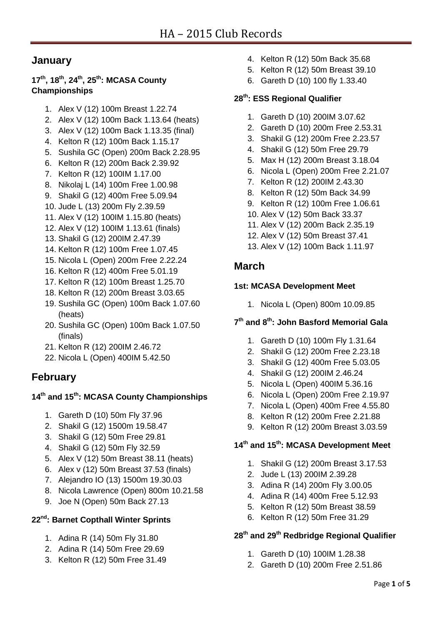# **January**

## **17th, 18th, 24th, 25th: MCASA County Championships**

- 1. Alex V (12) 100m Breast 1.22.74
- 2. Alex V (12) 100m Back 1.13.64 (heats)
- 3. Alex V (12) 100m Back 1.13.35 (final)
- 4. Kelton R (12) 100m Back 1.15.17
- 5. Sushila GC (Open) 200m Back 2.28.95
- 6. Kelton R (12) 200m Back 2.39.92
- 7. Kelton R (12) 100IM 1.17.00
- 8. Nikolaj L (14) 100m Free 1.00.98
- 9. Shakil G (12) 400m Free 5.09.94
- 10. Jude L (13) 200m Fly 2.39.59
- 11. Alex V (12) 100IM 1.15.80 (heats)
- 12. Alex V (12) 100IM 1.13.61 (finals)
- 13. Shakil G (12) 200IM 2.47.39
- 14. Kelton R (12) 100m Free 1.07.45
- 15. Nicola L (Open) 200m Free 2.22.24
- 16. Kelton R (12) 400m Free 5.01.19
- 17. Kelton R (12) 100m Breast 1.25.70
- 18. Kelton R (12) 200m Breast 3.03.65
- 19. Sushila GC (Open) 100m Back 1.07.60 (heats)
- 20. Sushila GC (Open) 100m Back 1.07.50 (finals)
- 21. Kelton R (12) 200IM 2.46.72
- 22. Nicola L (Open) 400IM 5.42.50

# **February**

### **14th and 15th: MCASA County Championships**

- 1. Gareth D (10) 50m Fly 37.96
- 2. Shakil G (12) 1500m 19.58.47
- 3. Shakil G (12) 50m Free 29.81
- 4. Shakil G (12) 50m Fly 32.59
- 5. Alex V (12) 50m Breast 38.11 (heats)
- 6. Alex v (12) 50m Breast 37.53 (finals)
- 7. Alejandro IO (13) 1500m 19.30.03
- 8. Nicola Lawrence (Open) 800m 10.21.58
- 9. Joe N (Open) 50m Back 27.13

# **22nd: Barnet Copthall Winter Sprints**

- 1. Adina R (14) 50m Fly 31.80
- 2. Adina R (14) 50m Free 29.69
- 3. Kelton R (12) 50m Free 31.49
- 4. Kelton R (12) 50m Back 35.68
- 5. Kelton R (12) 50m Breast 39.10
- 6. Gareth D (10) 100 fly 1.33.40

### **28th: ESS Regional Qualifier**

- 1. Gareth D (10) 200IM 3.07.62
- 2. Gareth D (10) 200m Free 2.53.31
- 3. Shakil G (12) 200m Free 2.23.57
- 4. Shakil G (12) 50m Free 29.79
- 5. Max H (12) 200m Breast 3.18.04
- 6. Nicola L (Open) 200m Free 2.21.07
- 7. Kelton R (12) 200IM 2.43.30
- 8. Kelton R (12) 50m Back 34.99
- 9. Kelton R (12) 100m Free 1.06.61
- 10. Alex V (12) 50m Back 33.37
- 11. Alex V (12) 200m Back 2.35.19
- 12. Alex V (12) 50m Breast 37.41
- 13. Alex V (12) 100m Back 1.11.97

# **March**

#### **1st: MCASA Development Meet**

1. Nicola L (Open) 800m 10.09.85

### **7 th and 8th: John Basford Memorial Gala**

- 1. Gareth D (10) 100m Fly 1.31.64
- 2. Shakil G (12) 200m Free 2.23.18
- 3. Shakil G (12) 400m Free 5.03.05
- 4. Shakil G (12) 200IM 2.46.24
- 5. Nicola L (Open) 400IM 5.36.16
- 6. Nicola L (Open) 200m Free 2.19.97
- 7. Nicola L (Open) 400m Free 4.55.80
- 8. Kelton R (12) 200m Free 2.21.88
- 9. Kelton R (12) 200m Breast 3.03.59

## **14th and 15th: MCASA Development Meet**

- 1. Shakil G (12) 200m Breast 3.17.53
- 2. Jude L (13) 200IM 2.39.28
- 3. Adina R (14) 200m Fly 3.00.05
- 4. Adina R (14) 400m Free 5.12.93
- 5. Kelton R (12) 50m Breast 38.59
- 6. Kelton R (12) 50m Free 31.29

# **28th and 29th Redbridge Regional Qualifier**

- 1. Gareth D (10) 100IM 1.28.38
- 2. Gareth D (10) 200m Free 2.51.86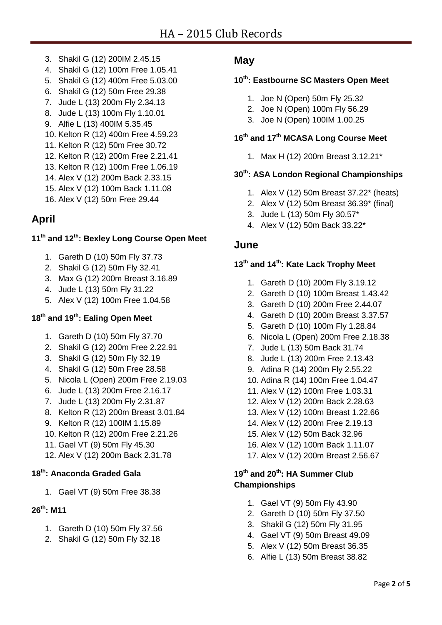- 3. Shakil G (12) 200IM 2.45.15
- 4. Shakil G (12) 100m Free 1.05.41
- 5. Shakil G (12) 400m Free 5.03.00
- 6. Shakil G (12) 50m Free 29.38
- 7. Jude L (13) 200m Fly 2.34.13
- 8. Jude L (13) 100m Fly 1.10.01
- 9. Alfie L (13) 400IM 5.35.45
- 10. Kelton R (12) 400m Free 4.59.23
- 11. Kelton R (12) 50m Free 30.72
- 12. Kelton R (12) 200m Free 2.21.41
- 13. Kelton R (12) 100m Free 1.06.19
- 14. Alex V (12) 200m Back 2.33.15
- 15. Alex V (12) 100m Back 1.11.08
- 16. Alex V (12) 50m Free 29.44

# **April**

# **11th and 12th: Bexley Long Course Open Meet**

- 1. Gareth D (10) 50m Fly 37.73
- 2. Shakil G (12) 50m Fly 32.41
- 3. Max G (12) 200m Breast 3.16.89
- 4. Jude L (13) 50m Fly 31.22
- 5. Alex V (12) 100m Free 1.04.58

### **18th and 19th: Ealing Open Meet**

- 1. Gareth D (10) 50m Fly 37.70
- 2. Shakil G (12) 200m Free 2.22.91
- 3. Shakil G (12) 50m Fly 32.19
- 4. Shakil G (12) 50m Free 28.58
- 5. Nicola L (Open) 200m Free 2.19.03
- 6. Jude L (13) 200m Free 2.16.17
- 7. Jude L (13) 200m Fly 2.31.87
- 8. Kelton R (12) 200m Breast 3.01.84
- 9. Kelton R (12) 100IM 1.15.89
- 10. Kelton R (12) 200m Free 2.21.26
- 11. Gael VT (9) 50m Fly 45.30
- 12. Alex V (12) 200m Back 2.31.78

### **18th: Anaconda Graded Gala**

1. Gael VT (9) 50m Free 38.38

# **26th: M11**

- 1. Gareth D (10) 50m Fly 37.56
- 2. Shakil G (12) 50m Fly 32.18

## **May**

## **10th: Eastbourne SC Masters Open Meet**

- 1. Joe N (Open) 50m Fly 25.32
- 2. Joe N (Open) 100m Fly 56.29
- 3. Joe N (Open) 100IM 1.00.25

# **16th and 17th MCASA Long Course Meet**

1. Max H (12) 200m Breast 3.12.21\*

# **30th: ASA London Regional Championships**

- 1. Alex V (12) 50m Breast 37.22\* (heats)
- 2. Alex V (12) 50m Breast 36.39\* (final)
- 3. Jude L (13) 50m Fly 30.57\*
- 4. Alex V (12) 50m Back 33.22\*

## **June**

## **13th and 14th: Kate Lack Trophy Meet**

- 1. Gareth D (10) 200m Fly 3.19.12
- 2. Gareth D (10) 100m Breast 1.43.42
- 3. Gareth D (10) 200m Free 2.44.07
- 4. Gareth D (10) 200m Breast 3.37.57
- 5. Gareth D (10) 100m Fly 1.28.84
- 6. Nicola L (Open) 200m Free 2.18.38
- 7. Jude L (13) 50m Back 31.74
- 8. Jude L (13) 200m Free 2.13.43
- 9. Adina R (14) 200m Fly 2.55.22
- 10. Adina R (14) 100m Free 1.04.47
- 11. Alex V (12) 100m Free 1.03.31
- 12. Alex V (12) 200m Back 2.28.63
- 13. Alex V (12) 100m Breast 1.22.66
- 14. Alex V (12) 200m Free 2.19.13
- 15. Alex V (12) 50m Back 32.96
- 16. Alex V (12) 100m Back 1.11.07
- 17. Alex V (12) 200m Breast 2.56.67

### **19th and 20th: HA Summer Club Championships**

- 1. Gael VT (9) 50m Fly 43.90
- 2. Gareth D (10) 50m Fly 37.50
- 3. Shakil G (12) 50m Fly 31.95
- 4. Gael VT (9) 50m Breast 49.09
- 5. Alex V (12) 50m Breast 36.35
- 6. Alfie L (13) 50m Breast 38.82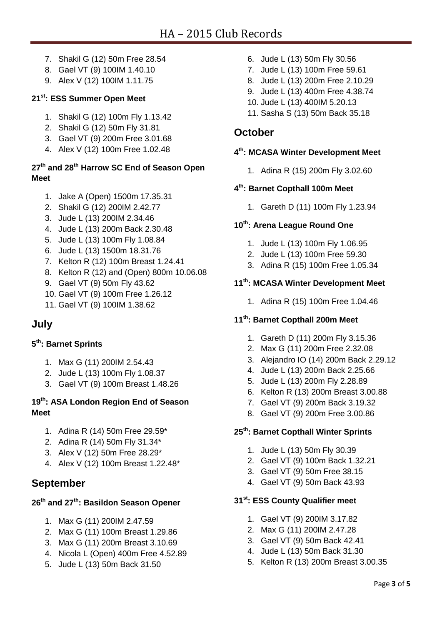- 7. Shakil G (12) 50m Free 28.54
- 8. Gael VT (9) 100IM 1.40.10
- 9. Alex V (12) 100IM 1.11.75

## **21st: ESS Summer Open Meet**

- 1. Shakil G (12) 100m Fly 1.13.42
- 2. Shakil G (12) 50m Fly 31.81
- 3. Gael VT (9) 200m Free 3.01.68
- 4. Alex V (12) 100m Free 1.02.48

# **27th and 28th Harrow SC End of Season Open Meet**

- 1. Jake A (Open) 1500m 17.35.31
- 2. Shakil G (12) 200IM 2.42.77
- 3. Jude L (13) 200IM 2.34.46
- 4. Jude L (13) 200m Back 2.30.48
- 5. Jude L (13) 100m Fly 1.08.84
- 6. Jude L (13) 1500m 18.31.76
- 7. Kelton R (12) 100m Breast 1.24.41
- 8. Kelton R (12) and (Open) 800m 10.06.08
- 9. Gael VT (9) 50m Fly 43.62
- 10. Gael VT (9) 100m Free 1.26.12
- 11. Gael VT (9) 100IM 1.38.62

# **July**

## **5 th: Barnet Sprints**

- 1. Max G (11) 200IM 2.54.43
- 2. Jude L (13) 100m Fly 1.08.37
- 3. Gael VT (9) 100m Breast 1.48.26

## **19th: ASA London Region End of Season Meet**

- 1. Adina R (14) 50m Free 29.59\*
- 2. Adina R (14) 50m Fly 31.34\*
- 3. Alex V (12) 50m Free 28.29\*
- 4. Alex V (12) 100m Breast 1.22.48\*

# **September**

# **26th and 27th: Basildon Season Opener**

- 1. Max G (11) 200IM 2.47.59
- 2. Max G (11) 100m Breast 1.29.86
- 3. Max G (11) 200m Breast 3.10.69
- 4. Nicola L (Open) 400m Free 4.52.89
- 5. Jude L (13) 50m Back 31.50
- 6. Jude L (13) 50m Fly 30.56
- 7. Jude L (13) 100m Free 59.61
- 8. Jude L (13) 200m Free 2.10.29
- 9. Jude L (13) 400m Free 4.38.74
- 10. Jude L (13) 400IM 5.20.13
- 11. Sasha S (13) 50m Back 35.18

# **October**

### **4 th: MCASA Winter Development Meet**

1. Adina R (15) 200m Fly 3.02.60

### **4 th: Barnet Copthall 100m Meet**

1. Gareth D (11) 100m Fly 1.23.94

### **10th: Arena League Round One**

- 1. Jude L (13) 100m Fly 1.06.95
- 2. Jude L (13) 100m Free 59.30
- 3. Adina R (15) 100m Free 1.05.34

## **11th: MCASA Winter Development Meet**

1. Adina R (15) 100m Free 1.04.46

### **11th: Barnet Copthall 200m Meet**

- 1. Gareth D (11) 200m Fly 3.15.36
- 2. Max G (11) 200m Free 2.32.08
- 3. Alejandro IO (14) 200m Back 2.29.12
- 4. Jude L (13) 200m Back 2.25.66
- 5. Jude L (13) 200m Fly 2.28.89
- 6. Kelton R (13) 200m Breast 3.00.88
- 7. Gael VT (9) 200m Back 3.19.32
- 8. Gael VT (9) 200m Free 3.00.86

### **25th: Barnet Copthall Winter Sprints**

- 1. Jude L (13) 50m Fly 30.39
- 2. Gael VT (9) 100m Back 1.32.21
- 3. Gael VT (9) 50m Free 38.15
- 4. Gael VT (9) 50m Back 43.93

### **31st: ESS County Qualifier meet**

- 1. Gael VT (9) 200IM 3.17.82
- 2. Max G (11) 200IM 2.47.28
- 3. Gael VT (9) 50m Back 42.41
- 4. Jude L (13) 50m Back 31.30
- 5. Kelton R (13) 200m Breast 3.00.35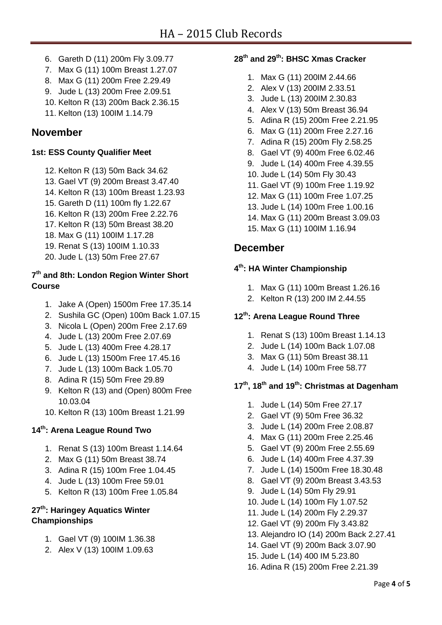- 6. Gareth D (11) 200m Fly 3.09.77
- 7. Max G (11) 100m Breast 1.27.07
- 8. Max G (11) 200m Free 2.29.49
- 9. Jude L (13) 200m Free 2.09.51
- 10. Kelton R (13) 200m Back 2.36.15
- 11. Kelton (13) 100IM 1.14.79

# **November**

#### **1st: ESS County Qualifier Meet**

- 12. Kelton R (13) 50m Back 34.62
- 13. Gael VT (9) 200m Breast 3.47.40
- 14. Kelton R (13) 100m Breast 1.23.93
- 15. Gareth D (11) 100m fly 1.22.67
- 16. Kelton R (13) 200m Free 2.22.76
- 17. Kelton R (13) 50m Breast 38.20
- 18. Max G (11) 100IM 1.17.28
- 19. Renat S (13) 100IM 1.10.33
- 20. Jude L (13) 50m Free 27.67

### **7 th and 8th: London Region Winter Short Course**

- 1. Jake A (Open) 1500m Free 17.35.14
- 2. Sushila GC (Open) 100m Back 1.07.15
- 3. Nicola L (Open) 200m Free 2.17.69
- 4. Jude L (13) 200m Free 2.07.69
- 5. Jude L (13) 400m Free 4.28.17
- 6. Jude L (13) 1500m Free 17.45.16
- 7. Jude L (13) 100m Back 1.05.70
- 8. Adina R (15) 50m Free 29.89
- 9. Kelton R (13) and (Open) 800m Free 10.03.04
- 10. Kelton R (13) 100m Breast 1.21.99

### **14th: Arena League Round Two**

- 1. Renat S (13) 100m Breast 1.14.64
- 2. Max G (11) 50m Breast 38.74
- 3. Adina R (15) 100m Free 1.04.45
- 4. Jude L (13) 100m Free 59.01
- 5. Kelton R (13) 100m Free 1.05.84

## **27th: Haringey Aquatics Winter Championships**

- 1. Gael VT (9) 100IM 1.36.38
- 2. Alex V (13) 100IM 1.09.63

# **28th and 29th: BHSC Xmas Cracker**

- 1. Max G (11) 200IM 2.44.66
- 2. Alex V (13) 200IM 2.33.51
- 3. Jude L (13) 200IM 2.30.83
- 4. Alex V (13) 50m Breast 36.94
- 5. Adina R (15) 200m Free 2.21.95
- 6. Max G (11) 200m Free 2.27.16
- 7. Adina R (15) 200m Fly 2.58.25
- 8. Gael VT (9) 400m Free 6.02.46
- 9. Jude L (14) 400m Free 4.39.55
- 10. Jude L (14) 50m Fly 30.43
- 11. Gael VT (9) 100m Free 1.19.92
- 12. Max G (11) 100m Free 1.07.25
- 13. Jude L (14) 100m Free 1.00.16
- 14. Max G (11) 200m Breast 3.09.03
- 15. Max G (11) 100IM 1.16.94

# **December**

### **4 th : HA Winter Championship**

- 1. Max G (11) 100m Breast 1.26.16
- 2. Kelton R (13) 200 IM 2.44.55

### **12 th : Arena League Round Three**

- 1. Renat S (13) 100m Breast 1.14.13
- 2. Jude L (14) 100m Back 1.07.08
- 3. Max G (11) 50m Breast 38.11
- 4. Jude L (14) 100m Free 58.77

## **17 th , 18 th and 19 th : Christmas at Dagenham**

- 1. Jude L (14) 50m Free 27.17
- 2. Gael VT (9) 50m Free 36.32
- 3. Jude L (14) 200m Free 2.08.87
- 4. Max G (11) 200m Free 2.25.46
- 5. Gael VT (9) 200m Free 2.55.69
- 6. Jude L (14) 400m Free 4.37.39
- 7. Jude L (14) 1500m Free 18.30.48
- 8. Gael VT (9) 200m Breast 3.43.53
- 9. Jude L (14) 50m Fly 29.91
- 10. Jude L (14) 100m Fly 1.07.52
- 11. Jude L (14) 200m Fly 2.29.37
- 12. Gael VT (9) 200m Fly 3.43.82
- 13. Alejandro IO (14) 200m Back 2.27.41
- 14. Gael VT (9) 200m Back 3.07.90
- 15. Jude L (14) 400 IM 5.23.80
- 16. Adina R (15) 200m Free 2.21.39